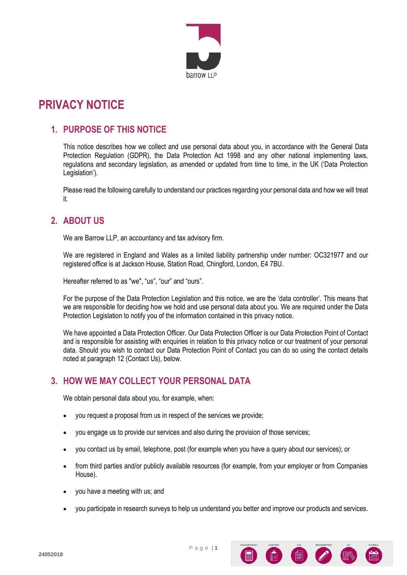

# **PRIVACY NOTICE**

### **1. PURPOSE OF THIS NOTICE**

This notice describes how we collect and use personal data about you, in accordance with the General Data Protection Regulation (GDPR), the Data Protection Act 1998 and any other national implementing laws, regulations and secondary legislation, as amended or updated from time to time, in the UK ('Data Protection Legislation').

Please read the following carefully to understand our practices regarding your personal data and how we will treat it.

### **2. ABOUT US**

We are Barrow LLP, an accountancy and tax advisory firm.

We are registered in England and Wales as a limited liability partnership under number: OC321977 and our registered office is at Jackson House, Station Road, Chingford, London, E4 7BU.

Hereafter referred to as "we", "us", "our" and "ours".

For the purpose of the Data Protection Legislation and this notice, we are the 'data controller'. This means that we are responsible for deciding how we hold and use personal data about you. We are required under the Data Protection Legislation to notify you of the information contained in this privacy notice.

We have appointed a Data Protection Officer. Our Data Protection Officer is our Data Protection Point of Contact and is responsible for assisting with enquiries in relation to this privacy notice or our treatment of your personal data. Should you wish to contact our Data Protection Point of Contact you can do so using the contact details noted at paragraph 12 (Contact Us), below.

# **3. HOW WE MAY COLLECT YOUR PERSONAL DATA**

We obtain personal data about you, for example, when:

- you request a proposal from us in respect of the services we provide;
- you engage us to provide our services and also during the provision of those services;
- you contact us by email, telephone, post (for example when you have a query about our services); or
- from third parties and/or publicly available resources (for example, from your employer or from Companies House).
- you have a meeting with us; and
- you participate in research surveys to help us understand you better and improve our products and services.

P a g e | **1**

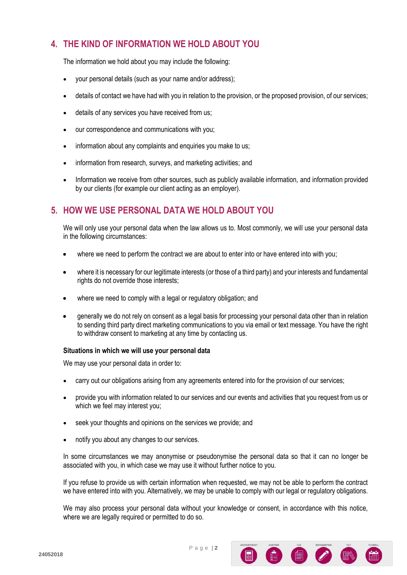# **4. THE KIND OF INFORMATION WE HOLD ABOUT YOU**

The information we hold about you may include the following:

- your personal details (such as your name and/or address);
- details of contact we have had with you in relation to the provision, or the proposed provision, of our services;
- details of any services you have received from us;
- our correspondence and communications with you;
- information about any complaints and enquiries you make to us:
- information from research, surveys, and marketing activities; and
- Information we receive from other sources, such as publicly available information, and information provided by our clients (for example our client acting as an employer).

### **5. HOW WE USE PERSONAL DATA WE HOLD ABOUT YOU**

We will only use your personal data when the law allows us to. Most commonly, we will use your personal data in the following circumstances:

- where we need to perform the contract we are about to enter into or have entered into with you;
- where it is necessary for our legitimate interests (or those of a third party) and your interests and fundamental rights do not override those interests;
- where we need to comply with a legal or regulatory obligation; and
- generally we do not rely on consent as a legal basis for processing your personal data other than in relation to sending third party direct marketing communications to you via email or text message. You have the right to withdraw consent to marketing at any time by contacting us.

#### **Situations in which we will use your personal data**

We may use your personal data in order to:

- carry out our obligations arising from any agreements entered into for the provision of our services;
- provide you with information related to our services and our events and activities that you request from us or which we feel may interest you;
- seek your thoughts and opinions on the services we provide; and
- notify you about any changes to our services.

In some circumstances we may anonymise or pseudonymise the personal data so that it can no longer be associated with you, in which case we may use it without further notice to you.

If you refuse to provide us with certain information when requested, we may not be able to perform the contract we have entered into with you. Alternatively, we may be unable to comply with our legal or regulatory obligations.

We may also process your personal data without your knowledge or consent, in accordance with this notice, where we are legally required or permitted to do so.

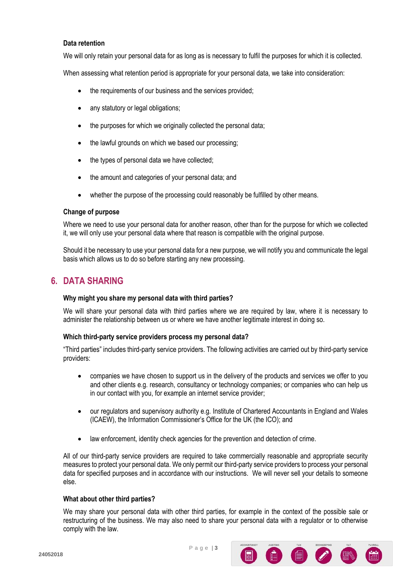#### **Data retention**

We will only retain your personal data for as long as is necessary to fulfil the purposes for which it is collected.

When assessing what retention period is appropriate for your personal data, we take into consideration:

- the requirements of our business and the services provided;
- any statutory or legal obligations;
- the purposes for which we originally collected the personal data;
- the lawful grounds on which we based our processing;
- the types of personal data we have collected;
- the amount and categories of your personal data; and
- whether the purpose of the processing could reasonably be fulfilled by other means.

#### **Change of purpose**

Where we need to use your personal data for another reason, other than for the purpose for which we collected it, we will only use your personal data where that reason is compatible with the original purpose.

Should it be necessary to use your personal data for a new purpose, we will notify you and communicate the legal basis which allows us to do so before starting any new processing.

### **6. DATA SHARING**

#### **Why might you share my personal data with third parties?**

We will share your personal data with third parties where we are required by law, where it is necessary to administer the relationship between us or where we have another legitimate interest in doing so.

#### **Which third-party service providers process my personal data?**

"Third parties" includes third-party service providers. The following activities are carried out by third-party service providers:

- companies we have chosen to support us in the delivery of the products and services we offer to you and other clients e.g. research, consultancy or technology companies; or companies who can help us in our contact with you, for example an internet service provider;
- our regulators and supervisory authority e.g. Institute of Chartered Accountants in England and Wales (ICAEW), the Information Commissioner's Office for the UK (the ICO); and
- law enforcement, identity check agencies for the prevention and detection of crime.

All of our third-party service providers are required to take commercially reasonable and appropriate security measures to protect your personal data. We only permit our third-party service providers to process your personal data for specified purposes and in accordance with our instructions. We will never sell your details to someone else.

#### **What about other third parties?**

We may share your personal data with other third parties, for example in the context of the possible sale or restructuring of the business. We may also need to share your personal data with a regulator or to otherwise comply with the law.

6 6 2 R

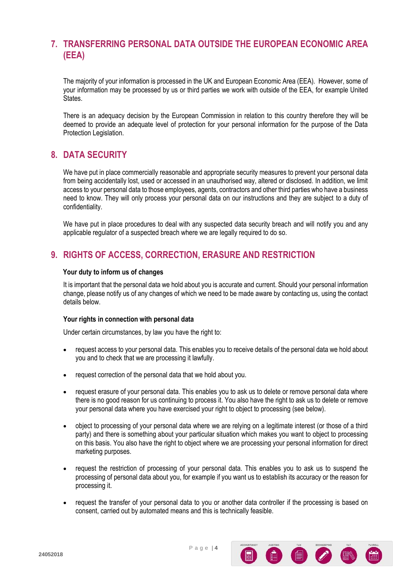### **7. TRANSFERRING PERSONAL DATA OUTSIDE THE EUROPEAN ECONOMIC AREA (EEA)**

The majority of your information is processed in the UK and European Economic Area (EEA). However, some of your information may be processed by us or third parties we work with outside of the EEA, for example United States.

There is an adequacy decision by the European Commission in relation to this country therefore they will be deemed to provide an adequate level of protection for your personal information for the purpose of the Data Protection Legislation.

### **8. DATA SECURITY**

We have put in place commercially reasonable and appropriate security measures to prevent your personal data from being accidentally lost, used or accessed in an unauthorised way, altered or disclosed. In addition, we limit access to your personal data to those employees, agents, contractors and other third parties who have a business need to know. They will only process your personal data on our instructions and they are subject to a duty of confidentiality.

We have put in place procedures to deal with any suspected data security breach and will notify you and any applicable regulator of a suspected breach where we are legally required to do so.

# **9. RIGHTS OF ACCESS, CORRECTION, ERASURE AND RESTRICTION**

#### **Your duty to inform us of changes**

It is important that the personal data we hold about you is accurate and current. Should your personal information change, please notify us of any changes of which we need to be made aware by contacting us, using the contact details below.

#### **Your rights in connection with personal data**

Under certain circumstances, by law you have the right to:

- request access to your personal data. This enables you to receive details of the personal data we hold about you and to check that we are processing it lawfully.
- request correction of the personal data that we hold about you.
- request erasure of your personal data. This enables you to ask us to delete or remove personal data where there is no good reason for us continuing to process it. You also have the right to ask us to delete or remove your personal data where you have exercised your right to object to processing (see below).
- object to processing of your personal data where we are relying on a legitimate interest (or those of a third party) and there is something about your particular situation which makes you want to object to processing on this basis. You also have the right to object where we are processing your personal information for direct marketing purposes.
- request the restriction of processing of your personal data. This enables you to ask us to suspend the processing of personal data about you, for example if you want us to establish its accuracy or the reason for processing it.
- request the transfer of your personal data to you or another data controller if the processing is based on consent, carried out by automated means and this is technically feasible.